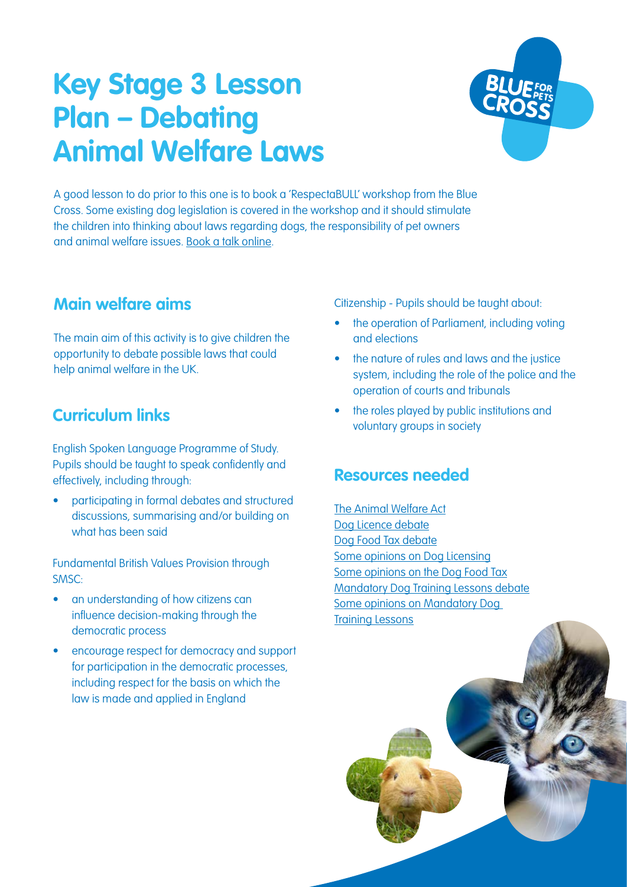# **Key Stage 3 Lesson Plan – Debating Animal Welfare Laws**



A good lesson to do prior to this one is to book a 'RespectaBULL' workshop from the Blue Cross. Some existing dog legislation is covered in the workshop and it should stimulate the children into thinking about laws regarding dogs, the responsibility of pet owners and animal welfare issues. [Book a talk online.](https://www.bluecross.org.uk/book-education-talk-0)

### **Main welfare aims**

The main aim of this activity is to give children the opportunity to debate possible laws that could help animal welfare in the UK.

### **Curriculum links**

English Spoken Language Programme of Study. Pupils should be taught to speak confidently and effectively, including through:

• participating in formal debates and structured discussions, summarising and/or building on what has been said

Fundamental British Values Provision through SMSC:

- an understanding of how citizens can influence decision-making through the democratic process
- encourage respect for democracy and support for participation in the democratic processes, including respect for the basis on which the law is made and applied in England

Citizenship - Pupils should be taught about:

- the operation of Parliament, including voting and elections
- the nature of rules and laws and the justice system, including the role of the police and the operation of courts and tribunals
- the roles played by public institutions and voluntary groups in society

### **Resources needed**

[The Animal Welfare Act](#page-2-0) [Dog Licence debate](#page-3-0) [Dog Food Tax debate](#page-4-0) [Some opinions on Dog Licensing](#page-5-0) [Some opinions on the Dog Food Tax](#page-7-0) [Mandatory Dog Training Lessons debate](#page-8-0) [Some opinions on Mandatory Dog](#page-9-0)  [Training Lessons](#page-9-0)

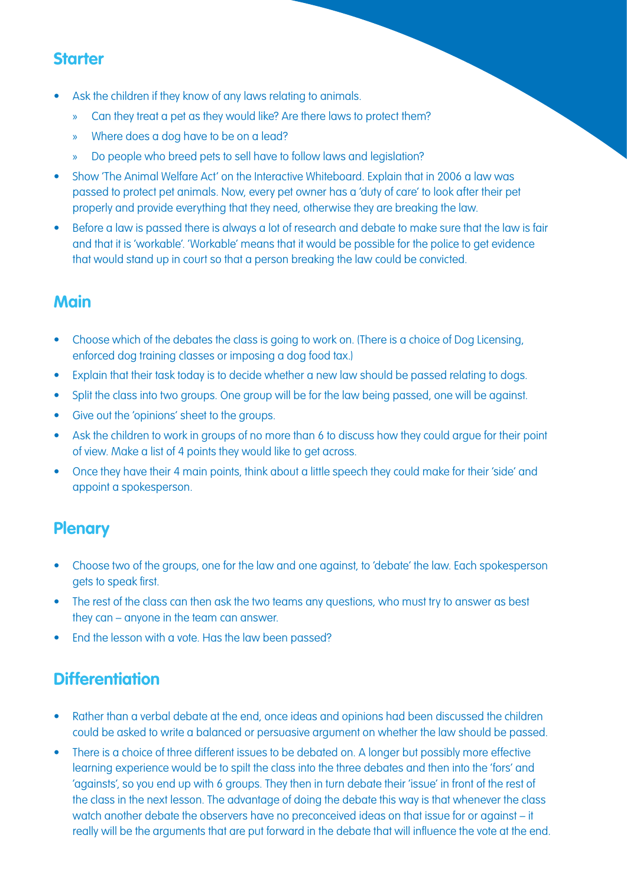### **Starter**

- Ask the children if they know of any laws relating to animals.
	- » Can they treat a pet as they would like? Are there laws to protect them?
	- » Where does a dog have to be on a lead?
	- » Do people who breed pets to sell have to follow laws and legislation?
- Show 'The Animal Welfare Act' on the Interactive Whiteboard. Explain that in 2006 a law was passed to protect pet animals. Now, every pet owner has a 'duty of care' to look after their pet properly and provide everything that they need, otherwise they are breaking the law.
- Before a law is passed there is always a lot of research and debate to make sure that the law is fair and that it is 'workable'. 'Workable' means that it would be possible for the police to get evidence that would stand up in court so that a person breaking the law could be convicted.

### **Main**

- Choose which of the debates the class is going to work on. (There is a choice of Dog Licensing, enforced dog training classes or imposing a dog food tax.)
- Explain that their task today is to decide whether a new law should be passed relating to dogs.
- Split the class into two groups. One group will be for the law being passed, one will be against.
- Give out the 'opinions' sheet to the groups.
- Ask the children to work in groups of no more than 6 to discuss how they could argue for their point of view. Make a list of 4 points they would like to get across.
- Once they have their 4 main points, think about a little speech they could make for their 'side' and appoint a spokesperson.

### **Plenary**

- Choose two of the groups, one for the law and one against, to 'debate' the law. Each spokesperson gets to speak first.
- The rest of the class can then ask the two teams any questions, who must try to answer as best they can – anyone in the team can answer.
- End the lesson with a vote. Has the law been passed?

### **Differentiation**

- Rather than a verbal debate at the end, once ideas and opinions had been discussed the children could be asked to write a balanced or persuasive argument on whether the law should be passed.
- There is a choice of three different issues to be debated on. A longer but possibly more effective learning experience would be to spilt the class into the three debates and then into the 'fors' and 'againsts', so you end up with 6 groups. They then in turn debate their 'issue' in front of the rest of the class in the next lesson. The advantage of doing the debate this way is that whenever the class watch another debate the observers have no preconceived ideas on that issue for or against – it really will be the arguments that are put forward in the debate that will influence the vote at the end.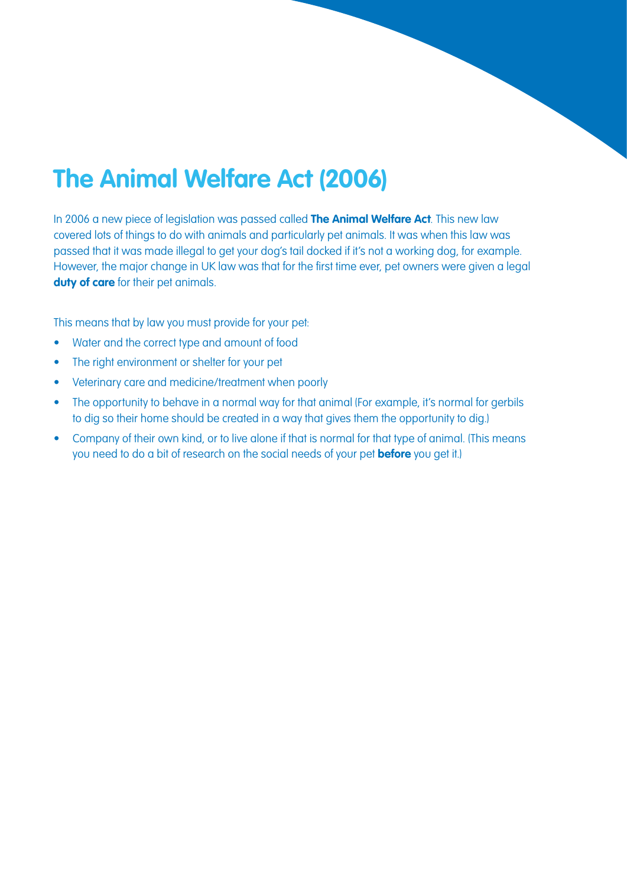## <span id="page-2-0"></span>**The Animal Welfare Act (2006)**

In 2006 a new piece of legislation was passed called **The Animal Welfare Act**. This new law covered lots of things to do with animals and particularly pet animals. It was when this law was passed that it was made illegal to get your dog's tail docked if it's not a working dog, for example. However, the major change in UK law was that for the first time ever, pet owners were given a legal duty of care for their pet animals.

This means that by law you must provide for your pet:

- Water and the correct type and amount of food
- The right environment or shelter for your pet
- Veterinary care and medicine/treatment when poorly
- The opportunity to behave in a normal way for that animal (For example, it's normal for gerbils to dig so their home should be created in a way that gives them the opportunity to dig.)
- Company of their own kind, or to live alone if that is normal for that type of animal. (This means you need to do a bit of research on the social needs of your pet **before** you get it.)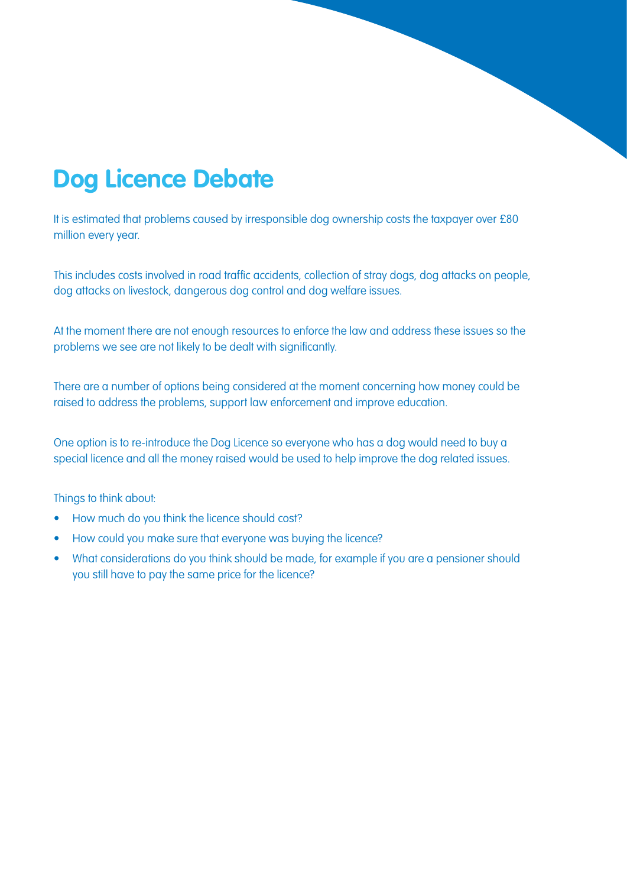## <span id="page-3-0"></span>**Dog Licence Debate**

It is estimated that problems caused by irresponsible dog ownership costs the taxpayer over £80 million every year.

This includes costs involved in road traffic accidents, collection of stray dogs, dog attacks on people, dog attacks on livestock, dangerous dog control and dog welfare issues.

At the moment there are not enough resources to enforce the law and address these issues so the problems we see are not likely to be dealt with significantly.

There are a number of options being considered at the moment concerning how money could be raised to address the problems, support law enforcement and improve education.

One option is to re-introduce the Dog Licence so everyone who has a dog would need to buy a special licence and all the money raised would be used to help improve the dog related issues.

Things to think about:

- How much do you think the licence should cost?
- How could you make sure that everyone was buying the licence?
- What considerations do you think should be made, for example if you are a pensioner should you still have to pay the same price for the licence?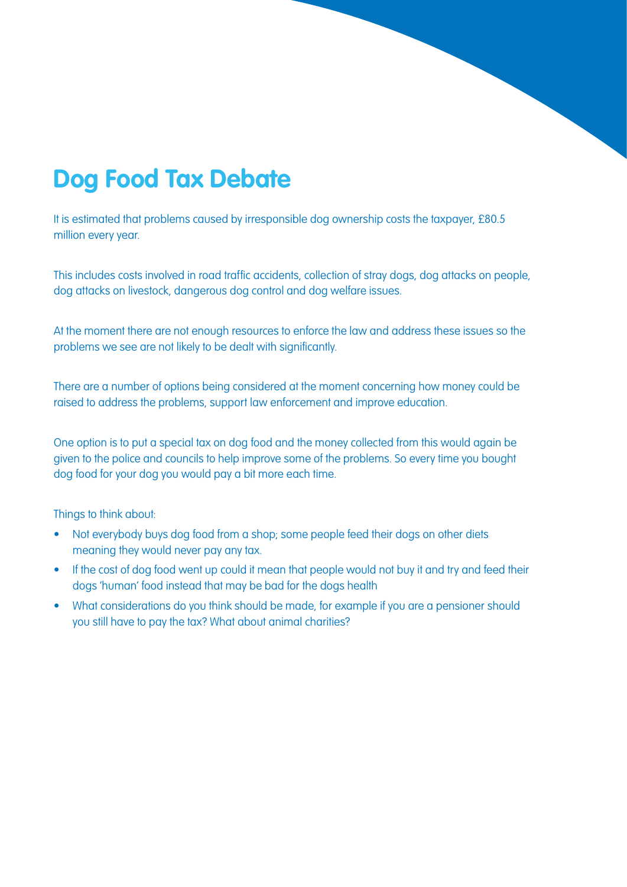## <span id="page-4-0"></span>**Dog Food Tax Debate**

It is estimated that problems caused by irresponsible dog ownership costs the taxpayer, £80.5 million every year.

This includes costs involved in road traffic accidents, collection of stray dogs, dog attacks on people, dog attacks on livestock, dangerous dog control and dog welfare issues.

At the moment there are not enough resources to enforce the law and address these issues so the problems we see are not likely to be dealt with significantly.

There are a number of options being considered at the moment concerning how money could be raised to address the problems, support law enforcement and improve education.

One option is to put a special tax on dog food and the money collected from this would again be given to the police and councils to help improve some of the problems. So every time you bought dog food for your dog you would pay a bit more each time.

Things to think about:

- Not everybody buys dog food from a shop; some people feed their dogs on other diets meaning they would never pay any tax.
- If the cost of dog food went up could it mean that people would not buy it and try and feed their dogs 'human' food instead that may be bad for the dogs health
- What considerations do you think should be made, for example if you are a pensioner should you still have to pay the tax? What about animal charities?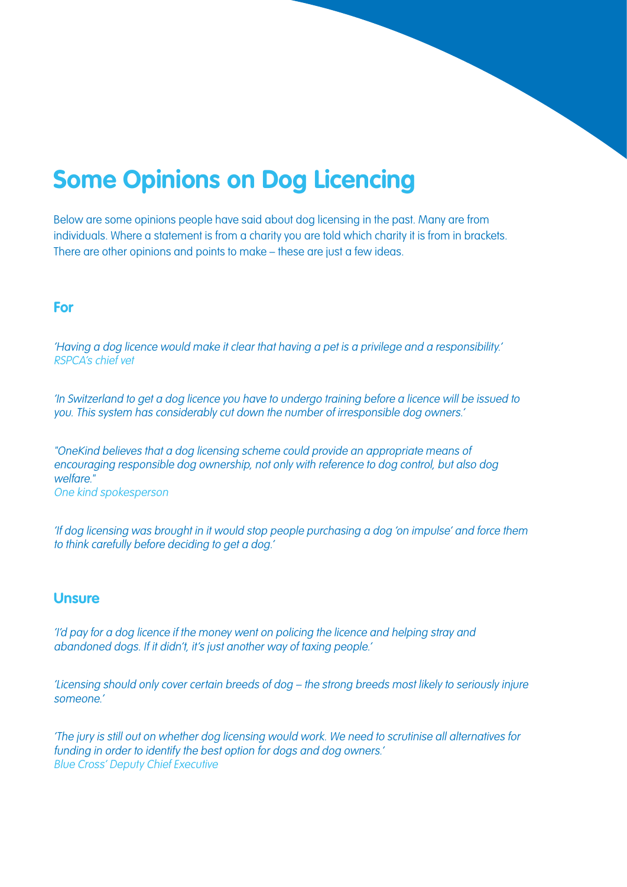## <span id="page-5-0"></span>**Some Opinions on Dog Licencing**

Below are some opinions people have said about dog licensing in the past. Many are from individuals. Where a statement is from a charity you are told which charity it is from in brackets. There are other opinions and points to make – these are just a few ideas.

#### **For**

'Having a dog licence would make it clear that having a pet is a privilege and a responsibility.' RSPCA's chief vet

'In Switzerland to get a dog licence you have to undergo training before a licence will be issued to you. This system has considerably cut down the number of irresponsible dog owners.'

"OneKind believes that a dog licensing scheme could provide an appropriate means of encouraging responsible dog ownership, not only with reference to dog control, but also dog welfare." One kind spokesperson

'If dog licensing was brought in it would stop people purchasing a dog 'on impulse' and force them to think carefully before deciding to get a dog.'

#### **Unsure**

'I'd pay for a dog licence if the money went on policing the licence and helping stray and abandoned dogs. If it didn't, it's just another way of taxing people.'

'Licensing should only cover certain breeds of dog – the strong breeds most likely to seriously injure someone.'

'The jury is still out on whether dog licensing would work. We need to scrutinise all alternatives for funding in order to identify the best option for dogs and dog owners.' Blue Cross' Deputy Chief Executive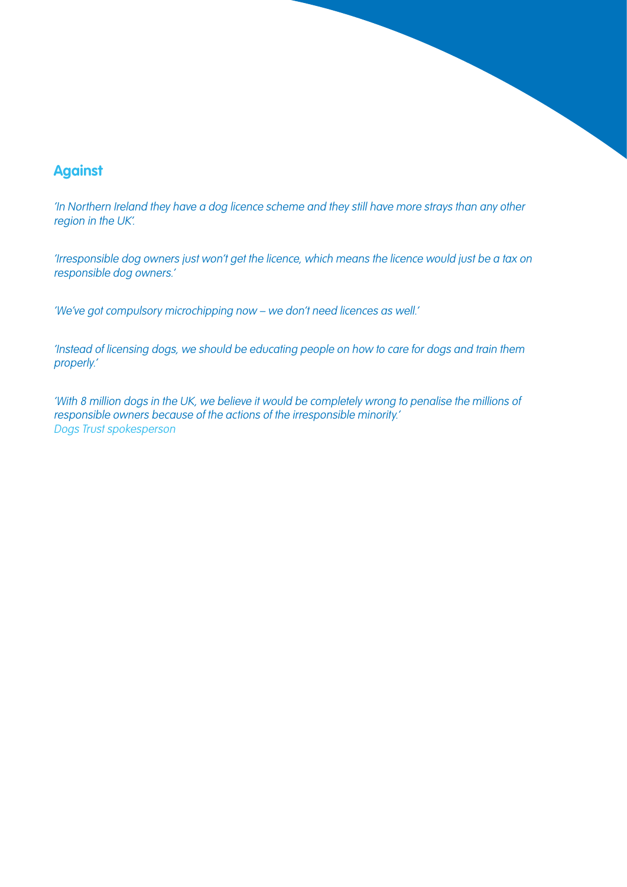#### **Against**

'In Northern Ireland they have a dog licence scheme and they still have more strays than any other region in the UK'.

'Irresponsible dog owners just won't get the licence, which means the licence would just be a tax on responsible dog owners.'

'We've got compulsory microchipping now – we don't need licences as well.'

'Instead of licensing dogs, we should be educating people on how to care for dogs and train them properly.'

'With 8 million dogs in the UK, we believe it would be completely wrong to penalise the millions of responsible owners because of the actions of the irresponsible minority.' Dogs Trust spokesperson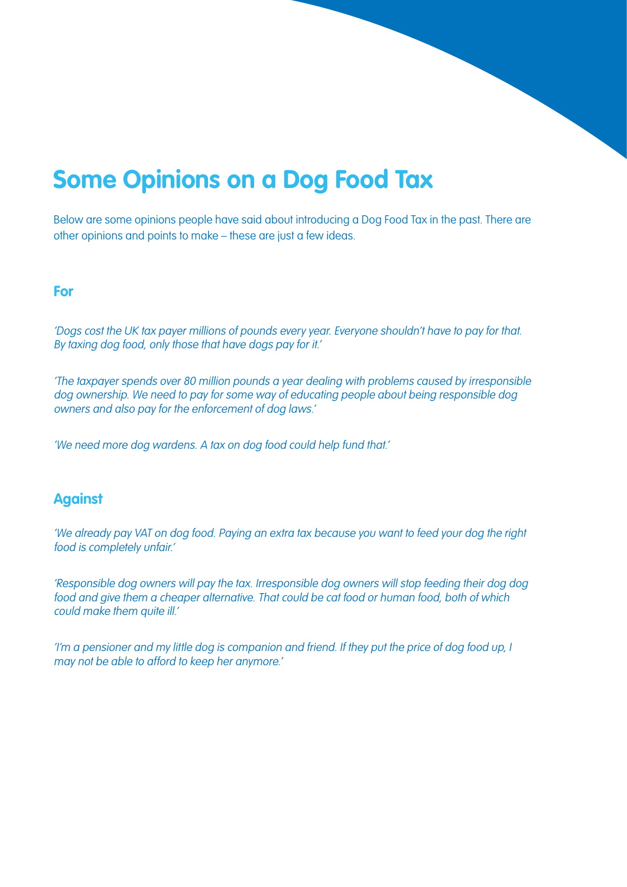## <span id="page-7-0"></span>**Some Opinions on a Dog Food Tax**

Below are some opinions people have said about introducing a Dog Food Tax in the past. There are other opinions and points to make – these are just a few ideas.

#### **For**

'Dogs cost the UK tax payer millions of pounds every year. Everyone shouldn't have to pay for that. By taxing dog food, only those that have dogs pay for it.'

'The taxpayer spends over 80 million pounds a year dealing with problems caused by irresponsible dog ownership. We need to pay for some way of educating people about being responsible dog owners and also pay for the enforcement of dog laws.'

'We need more dog wardens. A tax on dog food could help fund that.'

#### **Against**

'We already pay VAT on dog food. Paying an extra tax because you want to feed your dog the right food is completely unfair.'

'Responsible dog owners will pay the tax. Irresponsible dog owners will stop feeding their dog dog food and give them a cheaper alternative. That could be cat food or human food, both of which could make them quite ill.'

'I'm a pensioner and my little dog is companion and friend. If they put the price of dog food up, I may not be able to afford to keep her anymore.'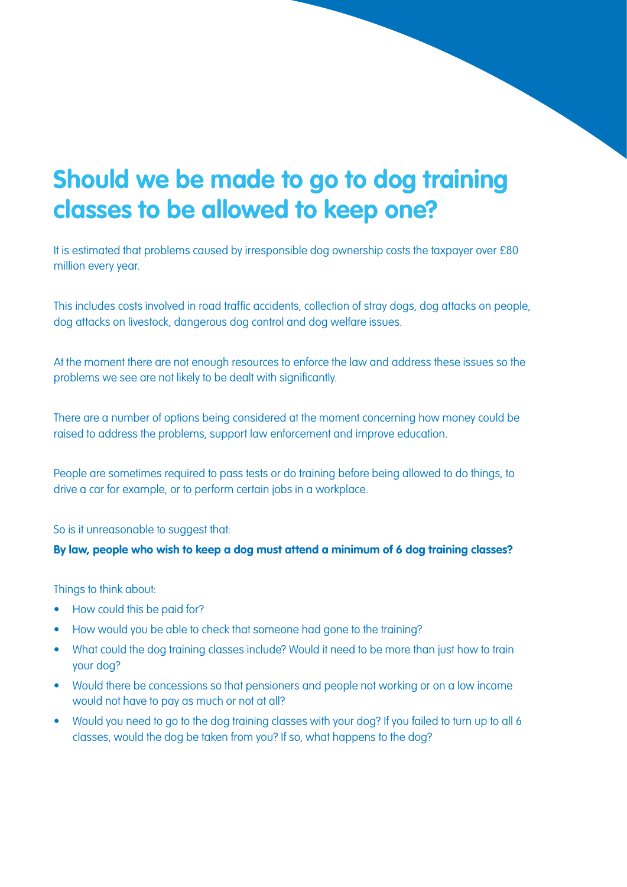## <span id="page-8-0"></span>**Should we be made to go to dog training classes to be allowed to keep one?**

It is estimated that problems caused by irresponsible dog ownership costs the taxpayer over £80 million every year.

This includes costs involved in road traffic accidents, collection of stray dogs, dog attacks on people, dog attacks on livestock, dangerous dog control and dog welfare issues.

At the moment there are not enough resources to enforce the law and address these issues so the problems we see are not likely to be dealt with significantly.

There are a number of options being considered at the moment concerning how money could be raised to address the problems, support law enforcement and improve education.

People are sometimes required to pass tests or do training before being allowed to do things, to drive a car for example, or to perform certain jobs in a workplace.

So is it unreasonable to suggest that:

#### **By law, people who wish to keep a dog must attend a minimum of 6 dog training classes?**

Things to think about:

- How could this be paid for?
- How would you be able to check that someone had gone to the training?
- What could the dog training classes include? Would it need to be more than just how to train your dog?
- Would there be concessions so that pensioners and people not working or on a low income would not have to pay as much or not at all?
- Would you need to go to the dog training classes with your dog? If you failed to turn up to all 6 classes, would the dog be taken from you? If so, what happens to the dog?